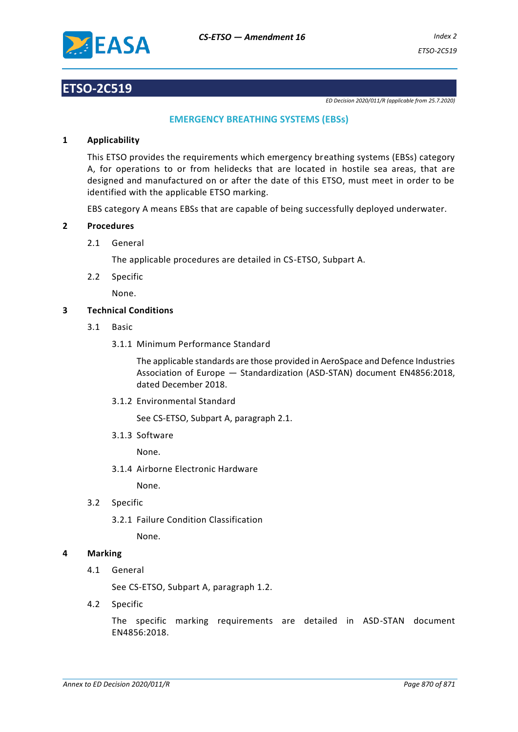

# **ETSO-2C519**

*ED Decision 2020/011/R (applicable from 25.7.2020)*

## **EMERGENCY BREATHING SYSTEMS (EBSs)**

### **1 Applicability**

This ETSO provides the requirements which emergency breathing systems (EBSs) category A, for operations to or from helidecks that are located in hostile sea areas, that are designed and manufactured on or after the date of this ETSO, must meet in order to be identified with the applicable ETSO marking.

EBS category A means EBSs that are capable of being successfully deployed underwater.

#### **2 Procedures**

2.1 General

The applicable procedures are detailed in CS-ETSO, Subpart A.

2.2 Specific

None.

#### **3 Technical Conditions**

- 3.1 Basic
	- 3.1.1 Minimum Performance Standard

The applicable standards are those provided in AeroSpace and Defence Industries Association of Europe — Standardization (ASD-STAN) document EN4856:2018, dated December 2018.

3.1.2 Environmental Standard

See CS-ETSO, Subpart A, paragraph 2.1.

3.1.3 Software

None.

3.1.4 Airborne Electronic Hardware

None.

- 3.2 Specific
	- 3.2.1 Failure Condition Classification

None.

#### **4 Marking**

4.1 General

See CS-ETSO, Subpart A, paragraph 1.2.

4.2 Specific

The specific marking requirements are detailed in ASD-STAN document EN4856:2018.